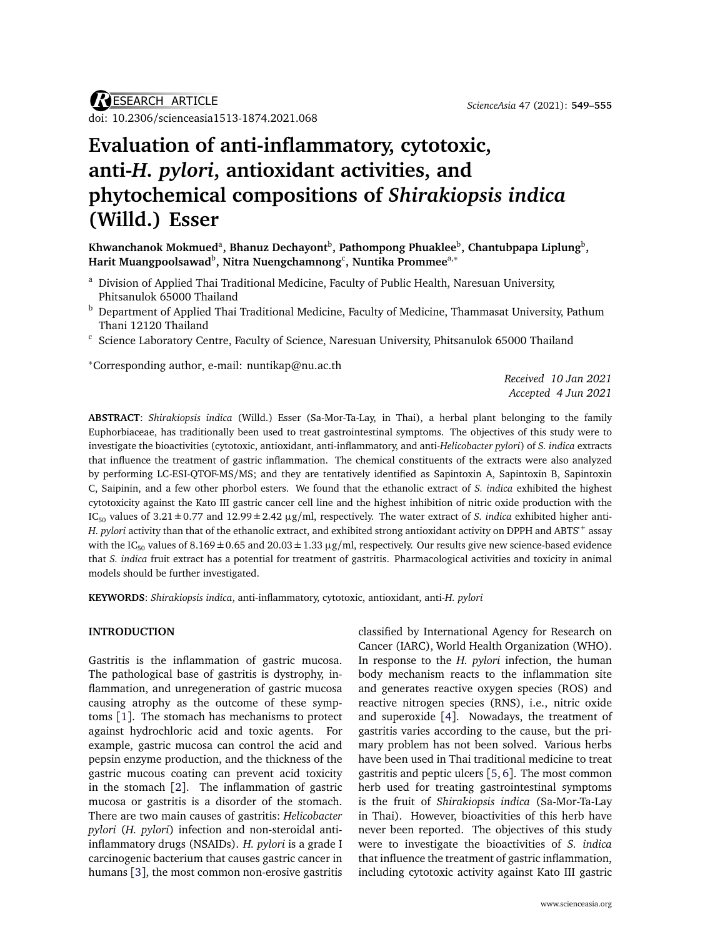*R*ESEARCH ARTICLE doi: 10.2306/[scienceasia1513-1874.2021.068](http://dx.doi.org/10.2306/scienceasia1513-1874.2021.068)

# **Evaluation of anti-inflammatory, cytotoxic, anti-***H. pylori***, antioxidant activities, and phytochemical compositions of** *Shirakiopsis indica* **(Willd.) Esser**

Khwanchanok Mokmued<sup>a</sup>, Bhanuz Dechayont<sup>b</sup>, Pathompong Phuaklee<sup>b</sup>, Chantubpapa Liplung<sup>b</sup>, **Harit Muangpoolsawad**<sup>b</sup> **, Nitra Nuengchamnong**<sup>c</sup> **, Nuntika Prommee**a,<sup>∗</sup>

- <sup>a</sup> Division of Applied Thai Traditional Medicine, Faculty of Public Health, Naresuan University, Phitsanulok 65000 Thailand
- <sup>b</sup> Department of Applied Thai Traditional Medicine, Faculty of Medicine, Thammasat University, Pathum Thani 12120 Thailand
- $c$  Science Laboratory Centre, Faculty of Science, Naresuan University, Phitsanulok 65000 Thailand

<sup>∗</sup>Corresponding author, e-mail: [nuntikap@nu.ac.th](mailto:nuntikap@nu.ac.th)

*Received 10 Jan 2021 Accepted 4 Jun 2021*

**ABSTRACT**: *Shirakiopsis indica* (Willd.) Esser (Sa-Mor-Ta-Lay, in Thai), a herbal plant belonging to the family Euphorbiaceae, has traditionally been used to treat gastrointestinal symptoms. The objectives of this study were to investigate the bioactivities (cytotoxic, antioxidant, anti-inflammatory, and anti-*Helicobacter pylori*) of *S. indica* extracts that influence the treatment of gastric inflammation. The chemical constituents of the extracts were also analyzed by performing LC-ESI-QTOF-MS/MS; and they are tentatively identified as Sapintoxin A, Sapintoxin B, Sapintoxin C, Saipinin, and a few other phorbol esters. We found that the ethanolic extract of *S. indica* exhibited the highest cytotoxicity against the Kato III gastric cancer cell line and the highest inhibition of nitric oxide production with the IC<sub>50</sub> values of  $3.21 \pm 0.77$  and  $12.99 \pm 2.42$   $\mu$ g/ml, respectively. The water extract of *S. indica* exhibited higher anti-*H. pylori* activity than that of the ethanolic extract, and exhibited strong antioxidant activity on DPPH and ABTS·<sup>+</sup> assay with the IC<sub>50</sub> values of 8.169  $\pm$  0.65 and 20.03  $\pm$  1.33  $\mu$ g/ml, respectively. Our results give new science-based evidence that *S. indica* fruit extract has a potential for treatment of gastritis. Pharmacological activities and toxicity in animal models should be further investigated.

**KEYWORDS**: *Shirakiopsis indica*, anti-inflammatory, cytotoxic, antioxidant, anti-*H. pylori*

# **INTRODUCTION**

Gastritis is the inflammation of gastric mucosa. The pathological base of gastritis is dystrophy, inflammation, and unregeneration of gastric mucosa causing atrophy as the outcome of these symptoms [[1](#page-6-0)]. The stomach has mechanisms to protect against hydrochloric acid and toxic agents. For example, gastric mucosa can control the acid and pepsin enzyme production, and the thickness of the gastric mucous coating can prevent acid toxicity in the stomach [[2](#page-6-1)]. The inflammation of gastric mucosa or gastritis is a disorder of the stomach. There are two main causes of gastritis: *Helicobacter pylori* (*H. pylori*) infection and non-steroidal antiinflammatory drugs (NSAIDs). *H. pylori* is a grade I carcinogenic bacterium that causes gastric cancer in humans [[3](#page-6-2)], the most common non-erosive gastritis

classified by International Agency for Research on Cancer (IARC), World Health Organization (WHO). In response to the *H. pylori* infection, the human body mechanism reacts to the inflammation site and generates reactive oxygen species (ROS) and reactive nitrogen species (RNS), i.e., nitric oxide and superoxide [[4](#page-6-3)]. Nowadays, the treatment of gastritis varies according to the cause, but the primary problem has not been solved. Various herbs have been used in Thai traditional medicine to treat gastritis and peptic ulcers [[5,](#page-6-4) [6](#page-6-5)]. The most common herb used for treating gastrointestinal symptoms is the fruit of *Shirakiopsis indica* (Sa-Mor-Ta-Lay in Thai). However, bioactivities of this herb have never been reported. The objectives of this study were to investigate the bioactivities of *S. indica* that influence the treatment of gastric inflammation, including cytotoxic activity against Kato III gastric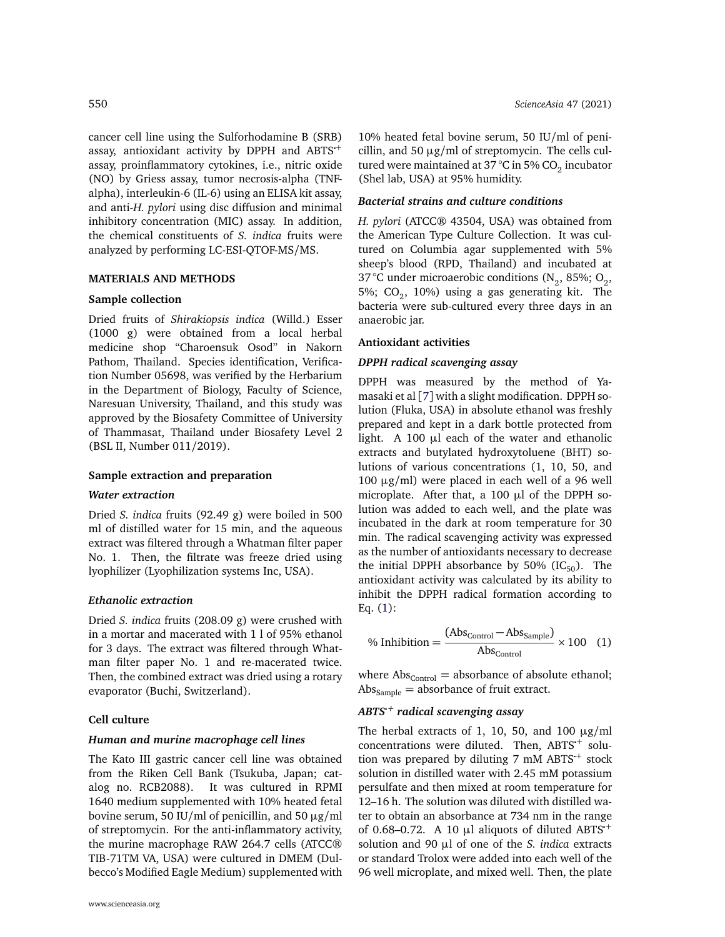cancer cell line using the Sulforhodamine B (SRB) assay, antioxidant activity by DPPH and ABTS·<sup>+</sup> assay, proinflammatory cytokines, i.e., nitric oxide (NO) by Griess assay, tumor necrosis-alpha (TNFalpha), interleukin-6 (IL-6) using an ELISA kit assay, and anti-*H. pylori* using disc diffusion and minimal inhibitory concentration (MIC) assay. In addition, the chemical constituents of *S. indica* fruits were analyzed by performing LC-ESI-QTOF-MS/MS.

# **MATERIALS AND METHODS**

# **Sample collection**

Dried fruits of *Shirakiopsis indica* (Willd.) Esser (1000 g) were obtained from a local herbal medicine shop "Charoensuk Osod" in Nakorn Pathom, Thailand. Species identification, Verification Number 05698, was verified by the Herbarium in the Department of Biology, Faculty of Science, Naresuan University, Thailand, and this study was approved by the Biosafety Committee of University of Thammasat, Thailand under Biosafety Level 2 (BSL II, Number 011/2019).

# **Sample extraction and preparation**

#### *Water extraction*

Dried *S. indica* fruits (92.49 g) were boiled in 500 ml of distilled water for 15 min, and the aqueous extract was filtered through a Whatman filter paper No. 1. Then, the filtrate was freeze dried using lyophilizer (Lyophilization systems Inc, USA).

#### *Ethanolic extraction*

Dried *S. indica* fruits (208.09 g) were crushed with in a mortar and macerated with 1 l of 95% ethanol for 3 days. The extract was filtered through Whatman filter paper No. 1 and re-macerated twice. Then, the combined extract was dried using a rotary evaporator (Buchi, Switzerland).

### **Cell culture**

#### *Human and murine macrophage cell lines*

The Kato III gastric cancer cell line was obtained from the Riken Cell Bank (Tsukuba, Japan; catalog no. RCB2088). It was cultured in RPMI 1640 medium supplemented with 10% heated fetal bovine serum, 50 IU/ml of penicillin, and 50  $\mu$ g/ml of streptomycin. For the anti-inflammatory activity, the murine macrophage RAW 264.7 cells (ATCC® TIB-71TM VA, USA) were cultured in DMEM (Dulbecco's Modified Eagle Medium) supplemented with

10% heated fetal bovine serum, 50 IU/ml of penicillin, and 50  $\mu$ g/ml of streptomycin. The cells cultured were maintained at 37 °C in 5% CO $_2$  incubator (Shel lab, USA) at 95% humidity.

#### *Bacterial strains and culture conditions*

*H. pylori* (ATCC® 43504, USA) was obtained from the American Type Culture Collection. It was cultured on Columbia agar supplemented with 5% sheep's blood (RPD, Thailand) and incubated at 37 °C under microaerobic conditions (N<sub>2</sub>, 85%; O<sub>2</sub>, 5%;  $CO_2$ , 10%) using a gas generating kit. The bacteria were sub-cultured every three days in an anaerobic jar.

#### **Antioxidant activities**

### *DPPH radical scavenging assay*

DPPH was measured by the method of Yamasaki et al [[7](#page-6-6)] with a slight modification. DPPH solution (Fluka, USA) in absolute ethanol was freshly prepared and kept in a dark bottle protected from light. A 100 µl each of the water and ethanolic extracts and butylated hydroxytoluene (BHT) solutions of various concentrations (1, 10, 50, and 100  $\mu$ g/ml) were placed in each well of a 96 well microplate. After that, a 100 µl of the DPPH solution was added to each well, and the plate was incubated in the dark at room temperature for 30 min. The radical scavenging activity was expressed as the number of antioxidants necessary to decrease the initial DPPH absorbance by 50% (IC $_{50}$ ). The antioxidant activity was calculated by its ability to inhibit the DPPH radical formation according to Eq. [\(1\)](#page-1-0):

<span id="page-1-0"></span>
$$
\% Inhibition = \frac{(Abs_{Control} - Abs_{Sample})}{Abs_{Control}} \times 100 \quad (1)
$$

where  $Abs_{Control} = absorbance of absolute ethanol;$  $Abs_{Sample} = absorbance of fruit extract.$ 

# *ABTS*·*<sup>+</sup> radical scavenging assay*

The herbal extracts of 1, 10, 50, and 100  $\mu$ g/ml ine nerbal extracts or 1, 10, 50, and 100  $\mu$ g/mi<br>concentrations were diluted. Then, ABTS<sup>+</sup> soluconcentrations were diluted. Then, ABTS Solu-<br>tion was prepared by diluting 7 mM ABTS + stock solution in distilled water with 2.45 mM potassium persulfate and then mixed at room temperature for 12–16 h. The solution was diluted with distilled water to obtain an absorbance at 734 nm in the range of 0.68–0.72. A 10  $\mu$ l aliquots of diluted ABTS<sup>+</sup> solution and 90 µl of one of the *S. indica* extracts or standard Trolox were added into each well of the 96 well microplate, and mixed well. Then, the plate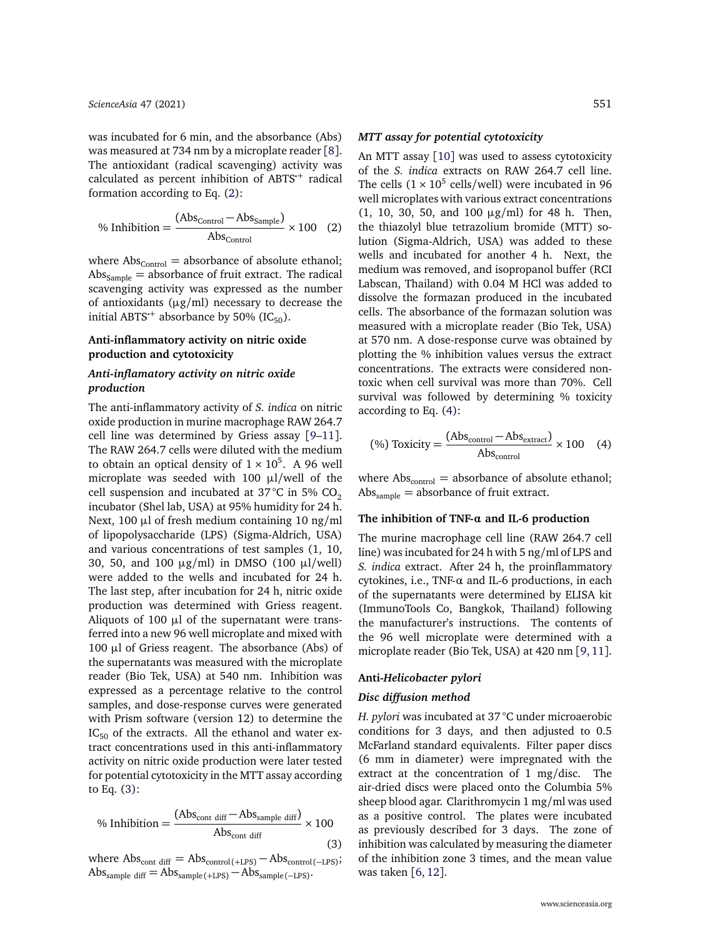was incubated for 6 min, and the absorbance (Abs) was measured at 734 nm by a microplate reader [[8](#page-6-7)]. The antioxidant (radical scavenging) activity was The antioxidant (radical scavenging) activity was<br>calculated as percent inhibition of ABTS<sup>+</sup> radical formation according to Eq. [\(2\)](#page-2-0):

<span id="page-2-0"></span>
$$
\% Inhibition = \frac{(Abs_{Control} - Abs_{Sample})}{Abs_{Control}} \times 100 \quad (2)
$$

where  $Abs_{Control} = absorbance of absolute ethanol;$  $Abs_{Sample} = absorbance of fruit extract. The radical$ scavenging activity was expressed as the number of antioxidants ( $\mu$ g/ml) necessary to decrease the or antioxidants (µg/mi) necessary to de<br>initial ABTS<sup>+</sup> absorbance by 50% (IC<sub>50</sub>).

# **Anti-inflammatory activity on nitric oxide production and cytotoxicity**

# *Anti-inflamatory activity on nitric oxide production*

The anti-inflammatory activity of *S. indica* on nitric oxide production in murine macrophage RAW 264.7 cell line was determined by Griess assay [[9](#page-6-8)[–11](#page-6-9)]. The RAW 264.7 cells were diluted with the medium to obtain an optical density of  $1 \times 10^5$ . A 96 well microplate was seeded with 100 µl/well of the cell suspension and incubated at  $37^{\circ}$ C in 5% CO<sub>2</sub> incubator (Shel lab, USA) at 95% humidity for 24 h. Next, 100  $\mu$ l of fresh medium containing 10 ng/ml of lipopolysaccharide (LPS) (Sigma-Aldrich, USA) and various concentrations of test samples (1, 10, 30, 50, and 100  $\mu$ g/ml) in DMSO (100  $\mu$ l/well) were added to the wells and incubated for 24 h. The last step, after incubation for 24 h, nitric oxide production was determined with Griess reagent. Aliquots of 100  $\mu$ l of the supernatant were transferred into a new 96 well microplate and mixed with 100  $\mu$ l of Griess reagent. The absorbance (Abs) of the supernatants was measured with the microplate reader (Bio Tek, USA) at 540 nm. Inhibition was expressed as a percentage relative to the control samples, and dose-response curves were generated with Prism software (version 12) to determine the  $IC_{50}$  of the extracts. All the ethanol and water extract concentrations used in this anti-inflammatory activity on nitric oxide production were later tested for potential cytotoxicity in the MTT assay according to Eq. [\(3\)](#page-2-1):

<span id="page-2-1"></span>% Inhibition = 
$$
\frac{\text{(Abs}_{\text{cont diff}} - \text{Abs}_{\text{sample diff}})}{\text{Abs}_{\text{cont diff}}} \times 100
$$
 (3)

where  $\text{Abs}_{\text{cont diff}} = \text{Abs}_{\text{control(+LPS)}} - \text{Abs}_{\text{control(-LPS)}};$  $\text{Abs}_{\text{sample diff}} = \text{Abs}_{\text{sample(+LPS)}} - \text{Abs}_{\text{sample(-LPS)}}.$ 

#### *MTT assay for potential cytotoxicity*

An MTT assay [[10](#page-6-10)] was used to assess cytotoxicity of the *S. indica* extracts on RAW 264.7 cell line. The cells  $(1 \times 10^5 \text{ cells/well})$  were incubated in 96 well microplates with various extract concentrations (1, 10, 30, 50, and 100 µg/ml) for 48 h. Then, the thiazolyl blue tetrazolium bromide (MTT) solution (Sigma-Aldrich, USA) was added to these wells and incubated for another 4 h. Next, the medium was removed, and isopropanol buffer (RCI Labscan, Thailand) with 0.04 M HCl was added to dissolve the formazan produced in the incubated cells. The absorbance of the formazan solution was measured with a microplate reader (Bio Tek, USA) at 570 nm. A dose-response curve was obtained by plotting the % inhibition values versus the extract concentrations. The extracts were considered nontoxic when cell survival was more than 70%. Cell survival was followed by determining % toxicity according to Eq. [\(4\)](#page-2-2):

<span id="page-2-2"></span>
$$
\text{(%) Toxicity} = \frac{\text{(Abs}_{\text{control}} - \text{Abs}_{\text{extract}})}{\text{Abs}_{\text{control}}} \times 100 \quad (4)
$$

where  $Abs_{control} = absorbance of absolute ethanol;$  $Abs_{sample} = absorbance of fruit extract.$ 

## **The inhibition of TNF-***α* **and IL-6 production**

The murine macrophage cell line (RAW 264.7 cell line) was incubated for 24 h with 5 ng/ml of LPS and *S. indica* extract. After 24 h, the proinflammatory cytokines, i.e., TNF-*α* and IL-6 productions, in each of the supernatants were determined by ELISA kit (ImmunoTools Co, Bangkok, Thailand) following the manufacturer's instructions. The contents of the 96 well microplate were determined with a microplate reader (Bio Tek, USA) at 420 nm [[9,](#page-6-8) [11](#page-6-9)].

# **Anti-***Helicobacter pylori*

# *Disc diffusion method*

*H. pylori* was incubated at 37 °C under microaerobic conditions for 3 days, and then adjusted to 0.5 McFarland standard equivalents. Filter paper discs (6 mm in diameter) were impregnated with the extract at the concentration of 1 mg/disc. The air-dried discs were placed onto the Columbia 5% sheep blood agar. Clarithromycin 1 mg/ml was used as a positive control. The plates were incubated as previously described for 3 days. The zone of inhibition was calculated by measuring the diameter of the inhibition zone 3 times, and the mean value was taken [[6,](#page-6-5) [12](#page-6-11)].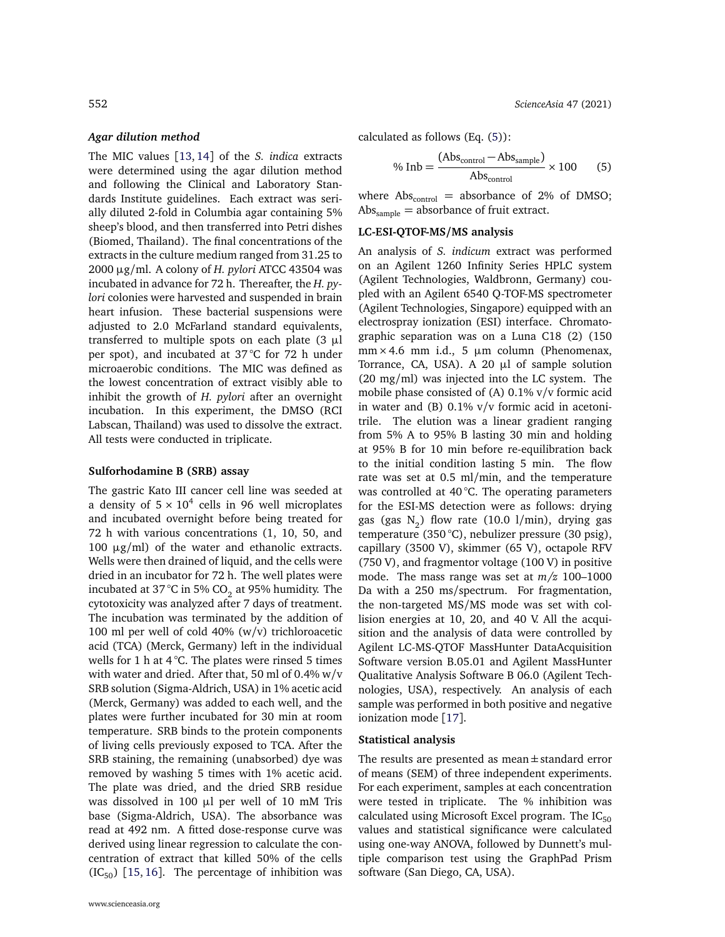# *Agar dilution method*

The MIC values [[13,](#page-6-12) [14](#page-6-13)] of the *S. indica* extracts were determined using the agar dilution method and following the Clinical and Laboratory Standards Institute guidelines. Each extract was serially diluted 2-fold in Columbia agar containing 5% sheep's blood, and then transferred into Petri dishes (Biomed, Thailand). The final concentrations of the extracts in the culture medium ranged from 31.25 to 2000 µg/ml. A colony of *H. pylori* ATCC 43504 was incubated in advance for 72 h. Thereafter, the *H. pylori* colonies were harvested and suspended in brain heart infusion. These bacterial suspensions were adjusted to 2.0 McFarland standard equivalents, transferred to multiple spots on each plate  $(3 \mu)$ per spot), and incubated at 37 °C for 72 h under microaerobic conditions. The MIC was defined as the lowest concentration of extract visibly able to inhibit the growth of *H. pylori* after an overnight incubation. In this experiment, the DMSO (RCI Labscan, Thailand) was used to dissolve the extract. All tests were conducted in triplicate.

# **Sulforhodamine B (SRB) assay**

The gastric Kato III cancer cell line was seeded at a density of  $5 \times 10^4$  cells in 96 well microplates and incubated overnight before being treated for 72 h with various concentrations (1, 10, 50, and 100  $\mu$ g/ml) of the water and ethanolic extracts. Wells were then drained of liquid, and the cells were dried in an incubator for 72 h. The well plates were incubated at 37 °C in 5% CO $_2$  at 95% humidity. The cytotoxicity was analyzed after 7 days of treatment. The incubation was terminated by the addition of 100 ml per well of cold 40% (w/v) trichloroacetic acid (TCA) (Merck, Germany) left in the individual wells for 1 h at  $4^{\circ}$ C. The plates were rinsed 5 times with water and dried. After that, 50 ml of 0.4% w/v SRB solution (Sigma-Aldrich, USA) in 1% acetic acid (Merck, Germany) was added to each well, and the plates were further incubated for 30 min at room temperature. SRB binds to the protein components of living cells previously exposed to TCA. After the SRB staining, the remaining (unabsorbed) dye was removed by washing 5 times with 1% acetic acid. The plate was dried, and the dried SRB residue was dissolved in 100 µl per well of 10 mM Tris base (Sigma-Aldrich, USA). The absorbance was read at 492 nm. A fitted dose-response curve was derived using linear regression to calculate the concentration of extract that killed 50% of the cells  $(IC_{50})$  [[15,](#page-6-14) [16](#page-6-15)]. The percentage of inhibition was calculated as follows (Eq. [\(5\)](#page-3-0)):

<span id="page-3-0"></span>
$$
\% Inb = \frac{(Abs_{control} - Abs_{sample})}{Abs_{control}} \times 100
$$
 (5)

where  $Abs_{control}$  = absorbance of 2% of DMSO;  $Abs_{sample} = absorbance of fruit extract.$ 

# **LC-ESI-QTOF-MS/MS analysis**

An analysis of *S. indicum* extract was performed on an Agilent 1260 Infinity Series HPLC system (Agilent Technologies, Waldbronn, Germany) coupled with an Agilent 6540 Q-TOF-MS spectrometer (Agilent Technologies, Singapore) equipped with an electrospray ionization (ESI) interface. Chromatographic separation was on a Luna C18 (2) (150 mm × 4.6 mm i.d., 5  $\mu$ m column (Phenomenax, Torrance, CA, USA). A 20 µl of sample solution (20 mg/ml) was injected into the LC system. The mobile phase consisted of (A) 0.1% v/v formic acid in water and (B)  $0.1\%$  v/v formic acid in acetonitrile. The elution was a linear gradient ranging from 5% A to 95% B lasting 30 min and holding at 95% B for 10 min before re-equilibration back to the initial condition lasting 5 min. The flow rate was set at 0.5 ml/min, and the temperature was controlled at 40 °C. The operating parameters for the ESI-MS detection were as follows: drying gas (gas  $\mathrm{N}_2$ ) flow rate (10.0 l/min), drying gas temperature (350 °C), nebulizer pressure (30 psig), capillary (3500 V), skimmer (65 V), octapole RFV (750 V), and fragmentor voltage (100 V) in positive mode. The mass range was set at *m/z* 100–1000 Da with a 250 ms/spectrum. For fragmentation, the non-targeted MS/MS mode was set with collision energies at 10, 20, and 40 V. All the acquisition and the analysis of data were controlled by Agilent LC-MS-QTOF MassHunter DataAcquisition Software version B.05.01 and Agilent MassHunter Qualitative Analysis Software B 06.0 (Agilent Technologies, USA), respectively. An analysis of each sample was performed in both positive and negative ionization mode [[17](#page-6-16)].

# **Statistical analysis**

The results are presented as mean $\pm$ standard error of means (SEM) of three independent experiments. For each experiment, samples at each concentration were tested in triplicate. The % inhibition was calculated using Microsoft Excel program. The  $IC_{50}$ values and statistical significance were calculated using one-way ANOVA, followed by Dunnett's multiple comparison test using the GraphPad Prism software (San Diego, CA, USA).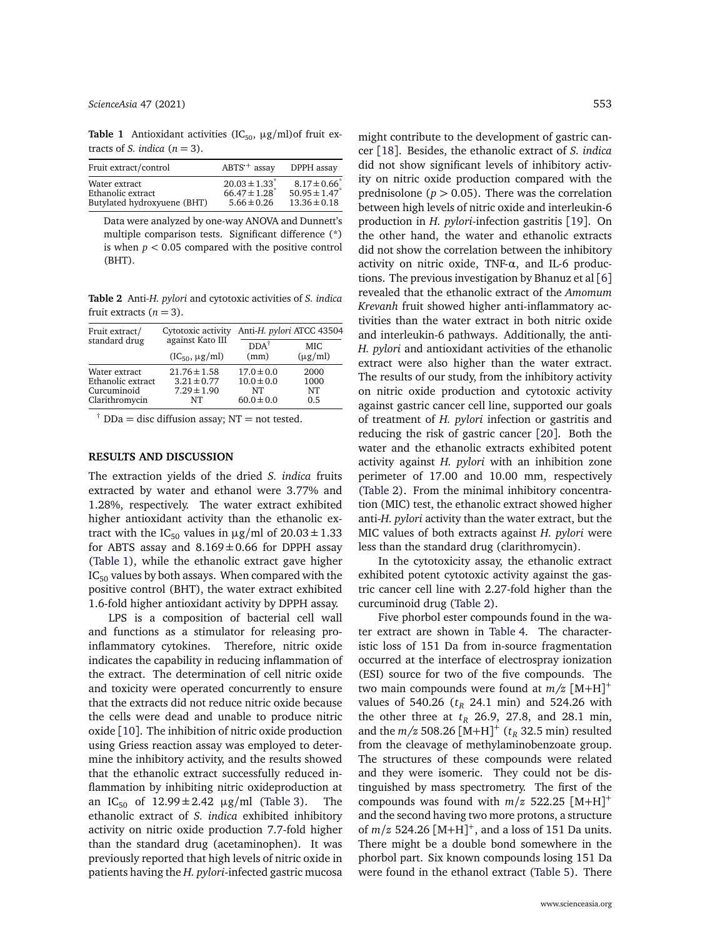*[ScienceAsia](http://www.scienceasia.org/)* 47 (2021) 553

<span id="page-4-0"></span>**Table 1** Antioxidant activities  $(IC_{50}, \mu g/ml)$ of fruit extracts of *S*. indica  $(n = 3)$ .

| Fruit extract/control                                             | $ABTS^+$ assay                                                                    | DPPH assay                                                                     |
|-------------------------------------------------------------------|-----------------------------------------------------------------------------------|--------------------------------------------------------------------------------|
| Water extract<br>Ethanolic extract<br>Butylated hydroxyuene (BHT) | $20.03 \pm 1.33$ <sup>*</sup><br>$66.47 \pm 1.28$ <sup>*</sup><br>$5.66 \pm 0.26$ | $8.17 \pm 0.66^{\degree}$<br>50.95 $\pm$ 1.47 <sup>*</sup><br>$13.36 \pm 0.18$ |

Data were analyzed by one-way ANOVA and Dunnett's multiple comparison tests. Significant difference (\*) is when *p <* 0.05 compared with the positive control (BHT).

<span id="page-4-1"></span>**Table 2** Anti-*H. pylori* and cytotoxic activities of *S. indica* fruit extracts  $(n = 3)$ .

| Fruit extract/    | Cytotoxic activity    | Anti-H. pylori ATCC 43504 |              |  |
|-------------------|-----------------------|---------------------------|--------------|--|
| standard drug     | against Kato III      | $DDA^{\dagger}$           | MIC.         |  |
|                   | $(IC_{50}, \mu g/ml)$ | (mm)                      | $(\mu g/ml)$ |  |
| Water extract     | $21.76 \pm 1.58$      | $17.0 \pm 0.0$            | 2000         |  |
| Ethanolic extract | $3.21 \pm 0.77$       | $10.0 \pm 0.0$            | 1000         |  |
| Curcuminoid       | $7.29 \pm 1.90$       | NT                        | NT           |  |
| Clarithromycin    | NT                    | $60.0 \pm 0.0$            | 0.5          |  |

<sup> $\dagger$ </sup> DDa = disc diffusion assay: NT = not tested.

# **RESULTS AND DISCUSSION**

The extraction yields of the dried *S. indica* fruits extracted by water and ethanol were 3.77% and 1.28%, respectively. The water extract exhibited higher antioxidant activity than the ethanolic extract with the IC<sub>50</sub> values in  $\mu$ g/ml of 20.03 ± 1.33 for ABTS assay and  $8.169 \pm 0.66$  for DPPH assay [\(Table 1\)](#page-4-0), while the ethanolic extract gave higher  $IC_{50}$  values by both assays. When compared with the positive control (BHT), the water extract exhibited 1.6-fold higher antioxidant activity by DPPH assay.

LPS is a composition of bacterial cell wall and functions as a stimulator for releasing proinflammatory cytokines. Therefore, nitric oxide indicates the capability in reducing inflammation of the extract. The determination of cell nitric oxide and toxicity were operated concurrently to ensure that the extracts did not reduce nitric oxide because the cells were dead and unable to produce nitric oxide [[10](#page-6-10)]. The inhibition of nitric oxide production using Griess reaction assay was employed to determine the inhibitory activity, and the results showed that the ethanolic extract successfully reduced inflammation by inhibiting nitric oxideproduction at an  $IC_{50}$  of  $12.99 \pm 2.42$   $\mu$ g/ml [\(Table 3\)](#page-5-0). The ethanolic extract of *S. indica* exhibited inhibitory activity on nitric oxide production 7.7-fold higher than the standard drug (acetaminophen). It was previously reported that high levels of nitric oxide in patients having the *H. pylori*-infected gastric mucosa might contribute to the development of gastric cancer [[18](#page-6-17)]. Besides, the ethanolic extract of *S. indica* did not show significant levels of inhibitory activity on nitric oxide production compared with the prednisolone ( $p > 0.05$ ). There was the correlation between high levels of nitric oxide and interleukin-6 production in *H. pylori*-infection gastritis [[19](#page-6-18)]. On the other hand, the water and ethanolic extracts did not show the correlation between the inhibitory activity on nitric oxide, TNF-*α*, and IL-6 productions. The previous investigation by Bhanuz et al [[6](#page-6-5)] revealed that the ethanolic extract of the *Amomum Krevanh* fruit showed higher anti-inflammatory activities than the water extract in both nitric oxide and interleukin-6 pathways. Additionally, the anti-*H. pylori* and antioxidant activities of the ethanolic extract were also higher than the water extract. The results of our study, from the inhibitory activity on nitric oxide production and cytotoxic activity against gastric cancer cell line, supported our goals of treatment of *H. pylori* infection or gastritis and reducing the risk of gastric cancer [[20](#page-6-19)]. Both the water and the ethanolic extracts exhibited potent activity against *H. pylori* with an inhibition zone perimeter of 17.00 and 10.00 mm, respectively [\(Table 2\)](#page-4-1). From the minimal inhibitory concentration (MIC) test, the ethanolic extract showed higher anti-*H. pylori* activity than the water extract, but the MIC values of both extracts against *H. pylori* were less than the standard drug (clarithromycin).

In the cytotoxicity assay, the ethanolic extract exhibited potent cytotoxic activity against the gastric cancer cell line with 2.27-fold higher than the curcuminoid drug [\(Table 2\)](#page-4-1).

Five phorbol ester compounds found in the water extract are shown in [Table 4.](#page-5-1) The characteristic loss of 151 Da from in-source fragmentation occurred at the interface of electrospray ionization (ESI) source for two of the five compounds. The two main compounds were found at *m/z* [M+H] + values of 540.26 ( $t_R$  24.1 min) and 524.26 with the other three at  $t<sub>R</sub>$  26.9, 27.8, and 28.1 min, and the *m/z* 508.26 [M+H] + (*t<sup>R</sup>* 32.5 min) resulted from the cleavage of methylaminobenzoate group. The structures of these compounds were related and they were isomeric. They could not be distinguished by mass spectrometry. The first of the compounds was found with  $m/z$  522.25  $[M+H]$ <sup>+</sup> and the second having two more protons, a structure of *m/z* 524.26 [M+H] + , and a loss of 151 Da units. There might be a double bond somewhere in the phorbol part. Six known compounds losing 151 Da were found in the ethanol extract [\(Table 5\)](#page-5-2). There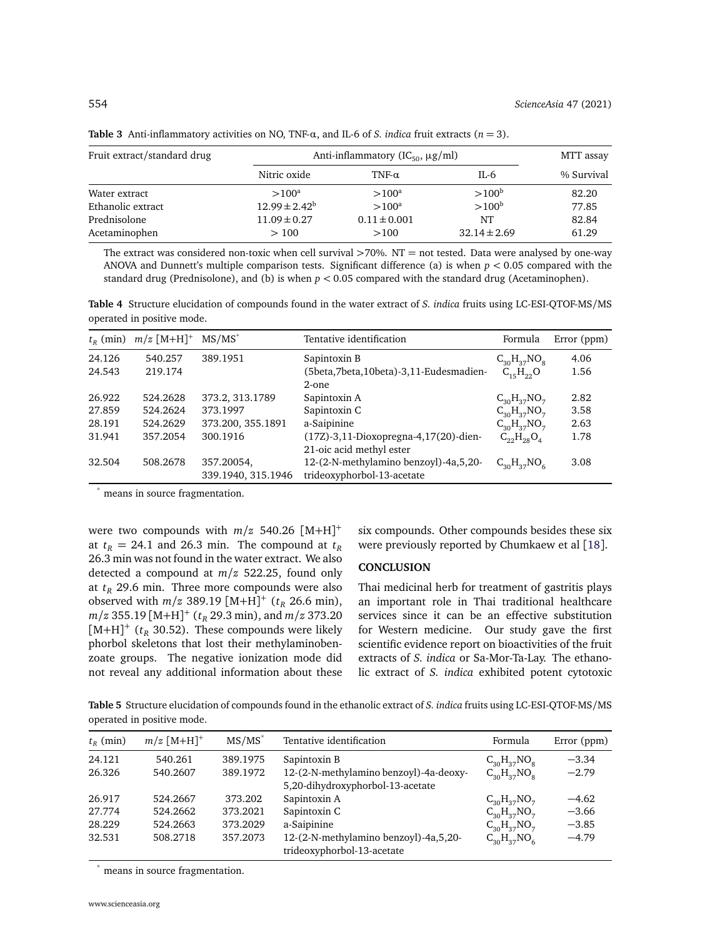| Fruit extract/standard drug | Anti-inflammatory ( $IC_{50}$ , $\mu$ g/ml) | MTT assay        |                  |            |
|-----------------------------|---------------------------------------------|------------------|------------------|------------|
|                             | Nitric oxide                                | TNF- $\alpha$    | IL-6             | % Survival |
| Water extract               | $>100^a$                                    | $>100^a$         | $>100^{\rm b}$   | 82.20      |
| Ethanolic extract           | $12.99 \pm 2.42^b$                          | $>100^a$         | $>100^{\rm b}$   | 77.85      |
| Prednisolone                | $11.09 \pm 0.27$                            | $0.11 \pm 0.001$ | NT               | 82.84      |
| Acetaminophen               | >100                                        | >100             | $32.14 \pm 2.69$ | 61.29      |
|                             |                                             |                  |                  |            |

<span id="page-5-0"></span>**Table 3** Anti-inflammatory activities on NO, TNF-*α*, and IL-6 of *S. indica* fruit extracts (*n* = 3).

The extract was considered non-toxic when cell survival  $>70\%$ . NT = not tested. Data were analysed by one-way ANOVA and Dunnett's multiple comparison tests. Significant difference (a) is when *p <* 0.05 compared with the standard drug (Prednisolone), and (b) is when *p <* 0.05 compared with the standard drug (Acetaminophen).

<span id="page-5-1"></span>**Table 4** Structure elucidation of compounds found in the water extract of *S. indica* fruits using LC-ESI-QTOF-MS/MS operated in positive mode.

| $t_R$ (min) | $m/z$ [M+H] <sup>+</sup> | $MS/MS^*$                        | Tentative identification                                            | Formula            | Error (ppm) |
|-------------|--------------------------|----------------------------------|---------------------------------------------------------------------|--------------------|-------------|
| 24.126      | 540.257                  | 389.1951                         | Sapintoxin B                                                        | $C_{30}H_{37}NO_8$ | 4.06        |
| 24.543      | 219.174                  |                                  | (5beta,7beta,10beta)-3,11-Eudesmadien-<br>$2$ -one                  | $C_{15}H_{22}O$    | 1.56        |
| 26.922      | 524.2628                 | 373.2, 313.1789                  | Sapintoxin A                                                        | $C_{30}H_{37}NO_7$ | 2.82        |
| 27.859      | 524.2624                 | 373.1997                         | Sapintoxin C                                                        | $C_{30}H_{37}NO_7$ | 3.58        |
| 28.191      | 524.2629                 | 373.200, 355.1891                | a-Saipinine                                                         | $C_{30}H_{37}NO_7$ | 2.63        |
| 31.941      | 357.2054                 | 300.1916                         | (17Z)-3,11-Dioxopregna-4,17(20)-dien-<br>21-oic acid methyl ester   | $C_{22}H_{28}O_4$  | 1.78        |
| 32.504      | 508.2678                 | 357.20054,<br>339.1940, 315.1946 | 12-(2-N-methylamino benzoyl)-4a,5,20-<br>trideoxyphorbol-13-acetate | $C_{30}H_{37}NO_6$ | 3.08        |

\* means in source fragmentation.

were two compounds with  $m/z$  540.26  $[M+H]$ <sup>+</sup> at  $t_R$  = 24.1 and 26.3 min. The compound at  $t_R$ 26.3 min was not found in the water extract. We also detected a compound at *m/z* 522.25, found only at  $t_R$  29.6 min. Three more compounds were also observed with  $m/z$  389.19  $[M+H]^+$  ( $t_R$  26.6 min), *m/z* 355.19 [M+H] + (*t<sup>R</sup>* 29.3 min), and *m/z* 373.20  $[M+H]^+$  ( $t_R$  30.52). These compounds were likely phorbol skeletons that lost their methylaminobenzoate groups. The negative ionization mode did not reveal any additional information about these six compounds. Other compounds besides these six were previously reported by Chumkaew et al [[18](#page-6-17)].

# **CONCLUSION**

Thai medicinal herb for treatment of gastritis plays an important role in Thai traditional healthcare services since it can be an effective substitution for Western medicine. Our study gave the first scientific evidence report on bioactivities of the fruit extracts of *S. indica* or Sa-Mor-Ta-Lay. The ethanolic extract of *S. indica* exhibited potent cytotoxic

<span id="page-5-2"></span>**Table 5** Structure elucidation of compounds found in the ethanolic extract of *S. indica* fruits using LC-ESI-QTOF-MS/MS operated in positive mode.

| $t_{R}$ (min) | $m/z$ [M+H] <sup>+</sup> | $MS/MS^*$ | Tentative identification                                                   | Formula            | Error (ppm) |
|---------------|--------------------------|-----------|----------------------------------------------------------------------------|--------------------|-------------|
| 24.121        | 540.261                  | 389.1975  | Sapintoxin B                                                               | $C_{30}H_{37}NO_8$ | $-3.34$     |
| 26.326        | 540.2607                 | 389.1972  | 12-(2-N-methylamino benzoyl)-4a-deoxy-<br>5,20-dihydroxyphorbol-13-acetate | $C_{30}H_{37}NO_8$ | $-2.79$     |
| 26.917        | 524.2667                 | 373.202   | Sapintoxin A                                                               | $C_{30}H_{37}NO_7$ | $-4.62$     |
| 27.774        | 524.2662                 | 373.2021  | Sapintoxin C                                                               | $C_{30}H_{37}NO_7$ | $-3.66$     |
| 28.229        | 524.2663                 | 373.2029  | a-Saipinine                                                                | $C_{30}H_{37}NO_7$ | $-3.85$     |
| 32.531        | 508.2718                 | 357.2073  | 12-(2-N-methylamino benzoyl)-4a,5,20-<br>trideoxyphorbol-13-acetate        | $C_{30}H_{37}NO_6$ | $-4.79$     |

means in source fragmentation.